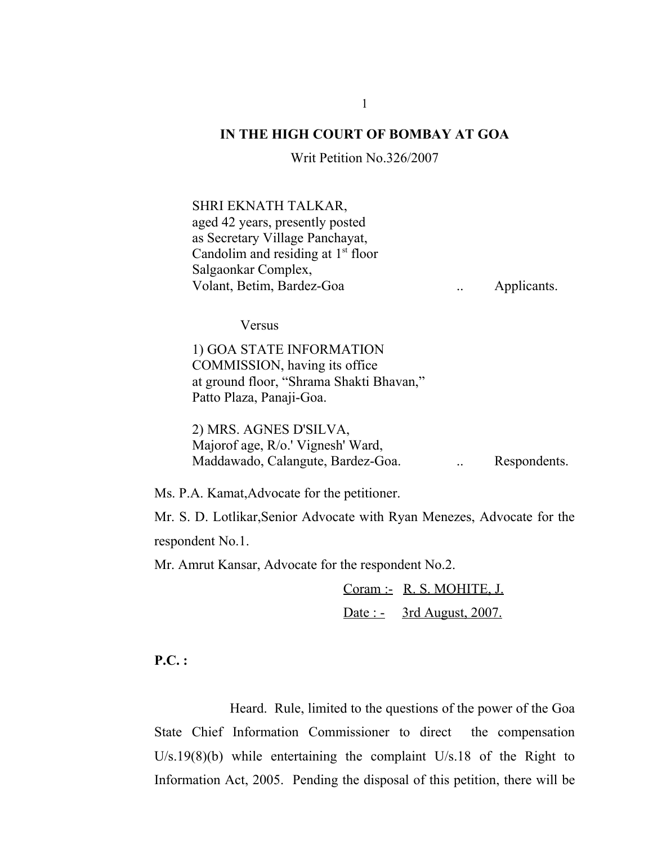## **IN THE HIGH COURT OF BOMBAY AT GOA**

Writ Petition No.326/2007

## SHRI EKNATH TALKAR, aged 42 years, presently posted as Secretary Village Panchayat, Candolim and residing at  $1<sup>st</sup>$  floor Salgaonkar Complex, Volant, Betim, Bardez-Goa .. Applicants.

Versus

1) GOA STATE INFORMATION COMMISSION, having its office at ground floor, "Shrama Shakti Bhavan," Patto Plaza, Panaji-Goa.

2) MRS. AGNES D'SILVA, Majorof age, R/o.' Vignesh' Ward, Maddawado, Calangute, Bardez-Goa. . . . . Respondents.

Ms. P.A. Kamat,Advocate for the petitioner.

Mr. S. D. Lotlikar,Senior Advocate with Ryan Menezes, Advocate for the respondent No.1.

Mr. Amrut Kansar, Advocate for the respondent No.2.

Coram :- R. S. MOHITE, J. Date : - 3rd August, 2007.

**P.C. :**

Heard. Rule, limited to the questions of the power of the Goa State Chief Information Commissioner to direct the compensation U/s.19(8)(b) while entertaining the complaint U/s.18 of the Right to Information Act, 2005. Pending the disposal of this petition, there will be